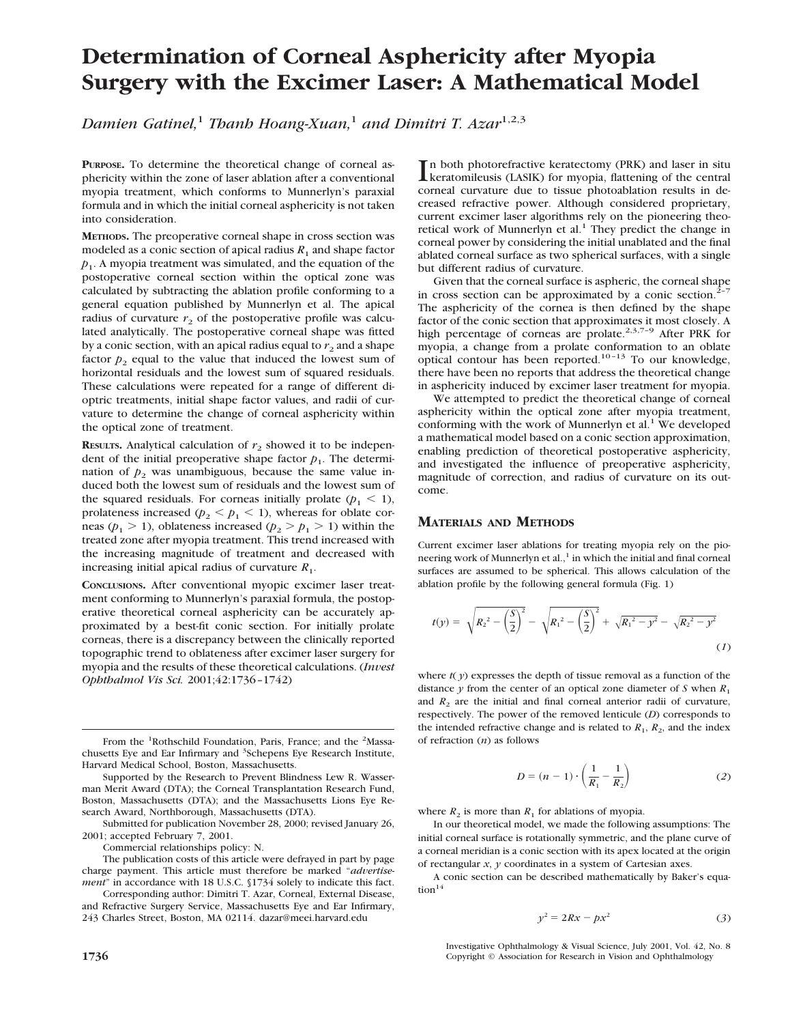# **Determination of Corneal Asphericity after Myopia Surgery with the Excimer Laser: A Mathematical Model**

*Damien Gatinel,*<sup>1</sup> *Thanh Hoang-Xuan,*<sup>1</sup> *and Dimitri T. Azar*1,2,3

**PURPOSE.** To determine the theoretical change of corneal asphericity within the zone of laser ablation after a conventional myopia treatment, which conforms to Munnerlyn's paraxial formula and in which the initial corneal asphericity is not taken into consideration.

**METHODS.** The preoperative corneal shape in cross section was modeled as a conic section of apical radius  $R_1$  and shape factor *p*1 . A myopia treatment was simulated, and the equation of the postoperative corneal section within the optical zone was calculated by subtracting the ablation profile conforming to a general equation published by Munnerlyn et al. The apical radius of curvature  $r<sub>2</sub>$  of the postoperative profile was calculated analytically. The postoperative corneal shape was fitted by a conic section, with an apical radius equal to  $r_2$  and a shape factor  $p_2$  equal to the value that induced the lowest sum of horizontal residuals and the lowest sum of squared residuals. These calculations were repeated for a range of different dioptric treatments, initial shape factor values, and radii of curvature to determine the change of corneal asphericity within the optical zone of treatment.

**RESULTS.** Analytical calculation of  $r_2$  showed it to be independent of the initial preoperative shape factor  $p_1$ . The determination of  $p_2$  was unambiguous, because the same value induced both the lowest sum of residuals and the lowest sum of the squared residuals. For corneas initially prolate  $(p_1 \leq 1)$ , prolateness increased ( $p_2 < p_1 < 1$ ), whereas for oblate corneas ( $p_1 > 1$ ), oblateness increased ( $p_2 > p_1 > 1$ ) within the treated zone after myopia treatment. This trend increased with the increasing magnitude of treatment and decreased with increasing initial apical radius of curvature  $R_1$ .

**CONCLUSIONS.** After conventional myopic excimer laser treatment conforming to Munnerlyn's paraxial formula, the postoperative theoretical corneal asphericity can be accurately approximated by a best-fit conic section. For initially prolate corneas, there is a discrepancy between the clinically reported topographic trend to oblateness after excimer laser surgery for myopia and the results of these theoretical calculations. (*Invest Ophthalmol Vis Sci.* 2001;42:1736–1742)

From the <sup>1</sup>Rothschild Foundation, Paris, France; and the <sup>2</sup>Massachusetts Eye and Ear Infirmary and <sup>3</sup>Schepens Eye Research Institute, Harvard Medical School, Boston, Massachusetts.

Supported by the Research to Prevent Blindness Lew R. Wasserman Merit Award (DTA); the Corneal Transplantation Research Fund, Boston, Massachusetts (DTA); and the Massachusetts Lions Eye Research Award, Northborough, Massachusetts (DTA).

Submitted for publication November 28, 2000; revised January 26, 2001; accepted February 7, 2001.

Commercial relationships policy: N.

The publication costs of this article were defrayed in part by page charge payment. This article must therefore be marked "*advertisement*" in accordance with 18 U.S.C. §1734 solely to indicate this fact.

Corresponding author: Dimitri T. Azar, Corneal, External Disease, and Refractive Surgery Service, Massachusetts Eye and Ear Infirmary, 243 Charles Street, Boston, MA 02114. dazar@meei.harvard.edu

In both photorefractive keratectomy (PRK) and laser in situ<br>
keratomileusis (LASIK) for myopia, flattening of the central<br>
served in the situation of the conduction of keratomileusis (LASIK) for myopia, flattening of the central corneal curvature due to tissue photoablation results in decreased refractive power. Although considered proprietary, current excimer laser algorithms rely on the pioneering theoretical work of Munnerlyn et al.<sup>1</sup> They predict the change in corneal power by considering the initial unablated and the final ablated corneal surface as two spherical surfaces, with a single but different radius of curvature.

Given that the corneal surface is aspheric, the corneal shape in cross section can be approximated by a conic section.<sup>2</sup> The asphericity of the cornea is then defined by the shape factor of the conic section that approximates it most closely. A high percentage of corneas are prolate.<sup>2,3,7-9</sup> After PRK for myopia, a change from a prolate conformation to an oblate optical contour has been reported.10–13 To our knowledge, there have been no reports that address the theoretical change in asphericity induced by excimer laser treatment for myopia.

We attempted to predict the theoretical change of corneal asphericity within the optical zone after myopia treatment, conforming with the work of Munnerlyn et al.<sup>1</sup> We developed a mathematical model based on a conic section approximation, enabling prediction of theoretical postoperative asphericity, and investigated the influence of preoperative asphericity, magnitude of correction, and radius of curvature on its outcome.

## **MATERIALS AND METHODS**

Current excimer laser ablations for treating myopia rely on the pioneering work of Munnerlyn et al., $^1$  in which the initial and final corneal surfaces are assumed to be spherical. This allows calculation of the ablation profile by the following general formula (Fig. 1)

$$
t(y) = \sqrt{R_2^2 - \left(\frac{S}{2}\right)^2} - \sqrt{R_1^2 - \left(\frac{S}{2}\right)^2} + \sqrt{R_1^2 - y^2} - \sqrt{R_2^2 - y^2}
$$
\n(1)

where  $t(y)$  expresses the depth of tissue removal as a function of the distance  $y$  from the center of an optical zone diameter of  $S$  when  $R_1$ and  $R_2$  are the initial and final corneal anterior radii of curvature, respectively. The power of the removed lenticule (*D*) corresponds to the intended refractive change and is related to  $R_1$ ,  $R_2$ , and the index of refraction (*n*) as follows

$$
D = (n-1) \cdot \left(\frac{1}{R_1} - \frac{1}{R_2}\right) \tag{2}
$$

where  $R_2$  is more than  $R_1$  for ablations of myopia.

In our theoretical model, we made the following assumptions: The initial corneal surface is rotationally symmetric, and the plane curve of a corneal meridian is a conic section with its apex located at the origin of rectangular *x*, *y* coordinates in a system of Cartesian axes.

A conic section can be described mathematically by Baker's equa- $\text{tion}^{14}$ 

$$
y^2 = 2Rx - px^2 \tag{3}
$$

Investigative Ophthalmology & Visual Science, July 2001, Vol. 42, No. 8 **1736** Copyright © Association for Research in Vision and Ophthalmology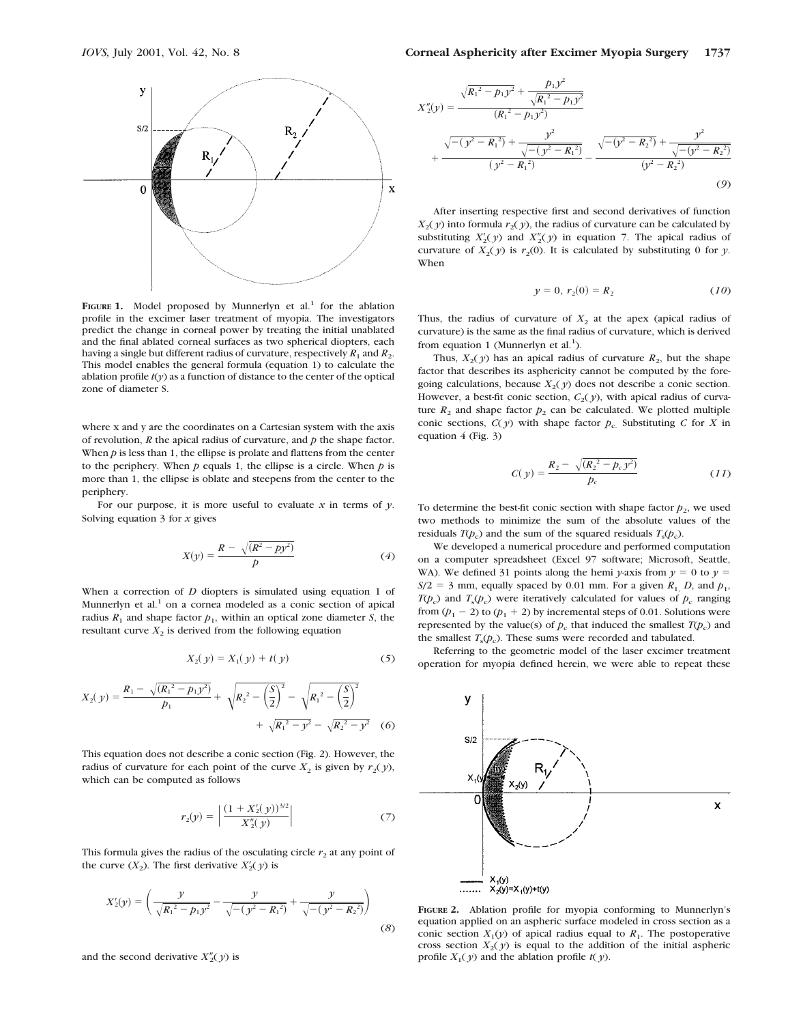

FIGURE 1. Model proposed by Munnerlyn et al.<sup>1</sup> for the ablation profile in the excimer laser treatment of myopia. The investigators predict the change in corneal power by treating the initial unablated and the final ablated corneal surfaces as two spherical diopters, each having a single but different radius of curvature, respectively  $R_1$  and  $R_2$ . This model enables the general formula (equation 1) to calculate the ablation profile  $t(y)$  as a function of distance to the center of the optical zone of diameter S.

where x and y are the coordinates on a Cartesian system with the axis of revolution, *R* the apical radius of curvature, and *p* the shape factor. When *p* is less than 1, the ellipse is prolate and flattens from the center to the periphery. When  $p$  equals 1, the ellipse is a circle. When  $p$  is more than 1, the ellipse is oblate and steepens from the center to the periphery.

For our purpose, it is more useful to evaluate  $x$  in terms of  $y$ . Solving equation 3 for *x* gives

$$
X(y) = \frac{R - \sqrt{(R^2 - py^2)}}{p}
$$
 (4)

When a correction of *D* diopters is simulated using equation 1 of Munnerlyn et al.<sup>1</sup> on a cornea modeled as a conic section of apical radius  $R_1$  and shape factor  $p_1$ , within an optical zone diameter *S*, the resultant curve  $X_2$  is derived from the following equation

$$
X_2(y) = X_1(y) + t(y)
$$
 (5)

$$
X_2(y) = \frac{R_1 - \sqrt{(R_1^2 - p_1 y^2)}}{p_1} + \sqrt{R_2^2 - \left(\frac{S}{2}\right)^2} - \sqrt{R_1^2 - \left(\frac{S}{2}\right)^2} + \sqrt{R_1^2 - y^2} - \sqrt{R_2^2 - y^2}
$$
 (6)

This equation does not describe a conic section (Fig. 2). However, the radius of curvature for each point of the curve  $X_2$  is given by  $r_2(y)$ , which can be computed as follows

$$
r_2(y) = \left| \frac{(1 + X_2'(y))^{3/2}}{X_2''(y)} \right| \tag{7}
$$

This formula gives the radius of the osculating circle  $r_2$  at any point of the curve  $(X_2)$ . The first derivative  $X_2'(y)$  is

$$
X_2'(y) = \left(\frac{y}{\sqrt{R_1^2 - p_1 y^2}} - \frac{y}{\sqrt{-(y^2 - R_1^2)}} + \frac{y}{\sqrt{-(y^2 - R_2^2)}}\right)
$$
(8)

and the second derivative  $X_2''(y)$  is

$$
X''_2(y) = \frac{\sqrt{R_1^2 - p_1 y^2} + \frac{p_1 y^2}{\sqrt{R_1^2 - p_1 y^2}}}{(R_1^2 - p_1 y^2)} + \frac{\sqrt{-(y^2 - R_1^2)} + \frac{y^2}{\sqrt{-(y^2 - R_1^2)}}}{(y^2 - R_1^2)} - \frac{\sqrt{-(y^2 - R_2^2)} + \frac{y^2}{\sqrt{-(y^2 - R_2^2)}}}{(y^2 - R_2^2)}
$$
(9)

After inserting respective first and second derivatives of function  $X_2(y)$  into formula  $r_2(y)$ , the radius of curvature can be calculated by substituting  $X_2'(y)$  and  $X_2''(y)$  in equation 7. The apical radius of curvature of  $X_2(y)$  is  $r_2(0)$ . It is calculated by substituting 0 for *y*. When

$$
y = 0, r_2(0) = R_2 \tag{10}
$$

Thus, the radius of curvature of  $X_2$  at the apex (apical radius of curvature) is the same as the final radius of curvature, which is derived from equation 1 (Munnerlyn et al.<sup>1</sup>).

Thus,  $X_2(y)$  has an apical radius of curvature  $R_2$ , but the shape factor that describes its asphericity cannot be computed by the foregoing calculations, because  $X_2(y)$  does not describe a conic section. However, a best-fit conic section,  $C_2(y)$ , with apical radius of curvature  $R_2$  and shape factor  $p_2$  can be calculated. We plotted multiple conic sections,  $C(y)$  with shape factor  $p_c$ . Substituting *C* for *X* in equation 4 (Fig. 3)

$$
C(y) = \frac{R_2 - \sqrt{(R_2^2 - p_c y^2)}}{p_c}
$$
 (11)

To determine the best-fit conic section with shape factor  $p_2$ , we used two methods to minimize the sum of the absolute values of the residuals  $T(p_c)$  and the sum of the squared residuals  $T_s(p_c)$ .

We developed a numerical procedure and performed computation on a computer spreadsheet (Excel 97 software; Microsoft, Seattle, WA). We defined 31 points along the hemi *y*-axis from  $\gamma = 0$  to  $\gamma =$  $S/2 = 3$  mm, equally spaced by 0.01 mm. For a given  $R_1$ , *D*, and  $p_1$ , *T*( $p_c$ ) and *T*<sub>s</sub>( $p_c$ ) were iteratively calculated for values of  $p_c$  ranging from  $(p_1 - 2)$  to  $(p_1 + 2)$  by incremental steps of 0.01. Solutions were represented by the value(s) of  $p_c$  that induced the smallest  $T(p_c)$  and the smallest  $T<sub>s</sub>(p<sub>c</sub>)$ . These sums were recorded and tabulated.

Referring to the geometric model of the laser excimer treatment operation for myopia defined herein, we were able to repeat these



**FIGURE 2.** Ablation profile for myopia conforming to Munnerlyn's equation applied on an aspheric surface modeled in cross section as a conic section  $X_1(y)$  of apical radius equal to  $R_1$ . The postoperative cross section  $X_2(y)$  is equal to the addition of the initial aspheric profile  $X_1(y)$  and the ablation profile  $t(y)$ .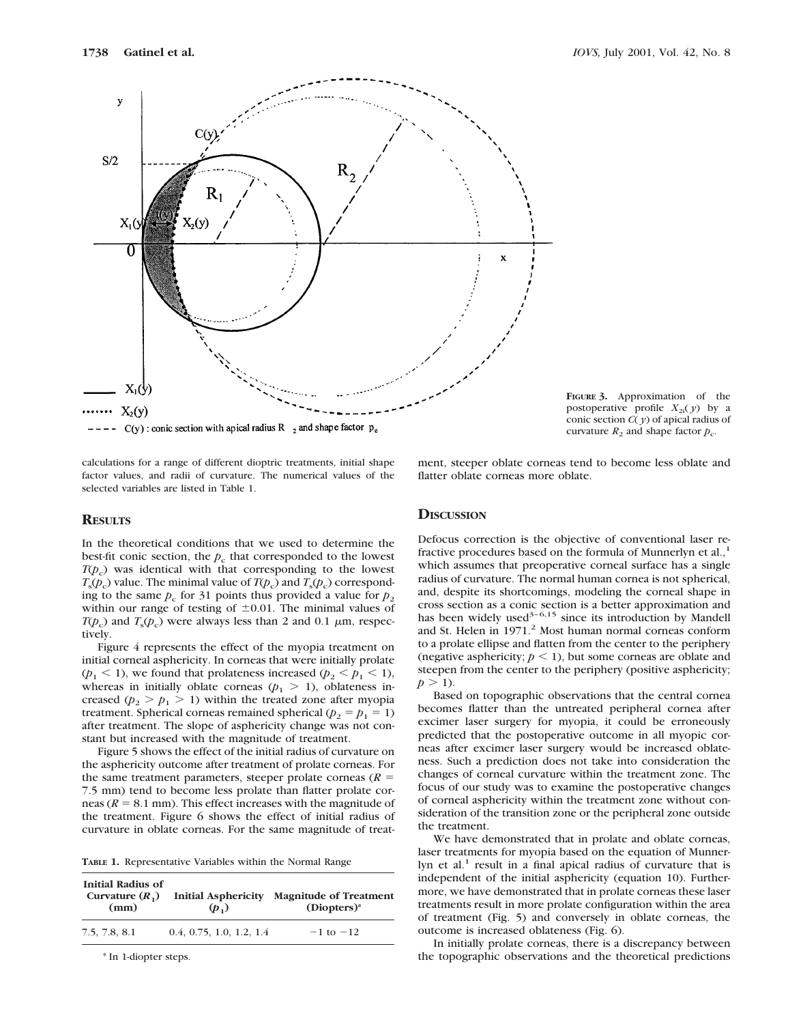

calculations for a range of different dioptric treatments, initial shape factor values, and radii of curvature. The numerical values of the selected variables are listed in Table 1.

## **RESULTS**

In the theoretical conditions that we used to determine the best-fit conic section, the  $p_c$  that corresponded to the lowest *T*(*p*<sub>c</sub>) was identical with that corresponding to the lowest  $T_{\rm s}(p_{\rm c})$  value. The minimal value of  $T(p_{\rm c})$  and  $T_{\rm s}(p_{\rm c})$  corresponding to the same  $p_c$  for 31 points thus provided a value for  $p_2$ within our range of testing of  $\pm 0.01$ . The minimal values of  $T(p_c)$  and  $T_s(p_c)$  were always less than 2 and 0.1  $\mu$ m, respectively.

Figure 4 represents the effect of the myopia treatment on initial corneal asphericity. In corneas that were initially prolate  $(p_1 \le 1)$ , we found that prolateness increased  $(p_2 \le p_1 \le 1)$ , whereas in initially oblate corneas  $(p_1 > 1)$ , oblateness increased ( $p_2 > p_1 > 1$ ) within the treated zone after myopia treatment. Spherical corneas remained spherical ( $p_2 = p_1 = 1$ ) after treatment. The slope of asphericity change was not constant but increased with the magnitude of treatment.

Figure 5 shows the effect of the initial radius of curvature on the asphericity outcome after treatment of prolate corneas. For the same treatment parameters, steeper prolate corneas  $(R =$ 7.5 mm) tend to become less prolate than flatter prolate corneas ( $R = 8.1$  mm). This effect increases with the magnitude of the treatment. Figure 6 shows the effect of initial radius of curvature in oblate corneas. For the same magnitude of treat-

| TABLE 1. Representative Variables within the Normal Range |  |  |  |  |
|-----------------------------------------------------------|--|--|--|--|
|-----------------------------------------------------------|--|--|--|--|

| <b>Initial Radius of</b><br>Curvature $(R_1)$<br>(mm) | <b>Initial Asphericity</b><br>$(p_1)$ | <b>Magnitude of Treatment</b><br>$(Diopters)*$ |
|-------------------------------------------------------|---------------------------------------|------------------------------------------------|
| 7.5, 7.8, 8.1                                         | 0.4, 0.75, 1.0, 1.2, 1.4              | $-1$ to $-12$                                  |

\* In 1-diopter steps.

**FIGURE 3.** Approximation of the postoperative profile  $X_{2i}(y)$  by a conic section *C*( *y*) of apical radius of curvature  $R_2$  and shape factor  $p_c$ .

ment, steeper oblate corneas tend to become less oblate and flatter oblate corneas more oblate.

## **DISCUSSION**

Defocus correction is the objective of conventional laser refractive procedures based on the formula of Munnerlyn et al.,<sup>1</sup> which assumes that preoperative corneal surface has a single radius of curvature. The normal human cornea is not spherical, and, despite its shortcomings, modeling the corneal shape in cross section as a conic section is a better approximation and has been widely used $3-6,15$  since its introduction by Mandell and St. Helen in 1971.<sup>2</sup> Most human normal corneas conform to a prolate ellipse and flatten from the center to the periphery (negative asphericity;  $p < 1$ ), but some corneas are oblate and steepen from the center to the periphery (positive asphericity;  $p > 1$ ).

Based on topographic observations that the central cornea becomes flatter than the untreated peripheral cornea after excimer laser surgery for myopia, it could be erroneously predicted that the postoperative outcome in all myopic corneas after excimer laser surgery would be increased oblateness. Such a prediction does not take into consideration the changes of corneal curvature within the treatment zone. The focus of our study was to examine the postoperative changes of corneal asphericity within the treatment zone without consideration of the transition zone or the peripheral zone outside the treatment.

We have demonstrated that in prolate and oblate corneas, laser treatments for myopia based on the equation of Munnerlyn et al.<sup>1</sup> result in a final apical radius of curvature that is independent of the initial asphericity (equation 10). Furthermore, we have demonstrated that in prolate corneas these laser treatments result in more prolate configuration within the area of treatment (Fig. 5) and conversely in oblate corneas, the outcome is increased oblateness (Fig. 6).

In initially prolate corneas, there is a discrepancy between the topographic observations and the theoretical predictions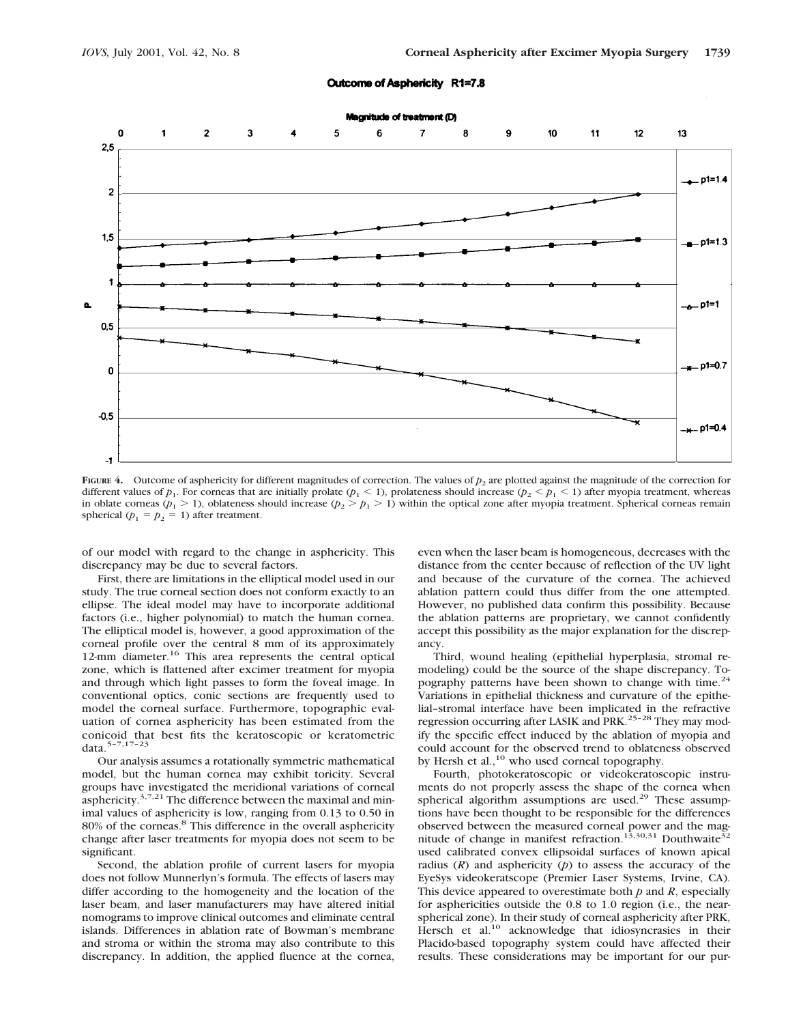#### Outcome of Asphericity R1=7.8



**FIGURE 4.** Outcome of asphericity for different magnitudes of correction. The values of  $p_2$  are plotted against the magnitude of the correction for different values of  $p_1$ . For corneas that are initially prolate ( $p_1 < 1$ ), prolateness should increase ( $p_2 < p_1 < 1$ ) after myopia treatment, whereas in oblate corneas ( $p_1 > 1$ ), oblateness should increase ( $p_2 > p_1 > 1$ ) within the optical zone after myopia treatment. Spherical corneas remain spherical  $(p_1 = p_2 = 1)$  after treatment.

of our model with regard to the change in asphericity. This discrepancy may be due to several factors.

First, there are limitations in the elliptical model used in our study. The true corneal section does not conform exactly to an ellipse. The ideal model may have to incorporate additional factors (i.e., higher polynomial) to match the human cornea. The elliptical model is, however, a good approximation of the corneal profile over the central 8 mm of its approximately 12-mm diameter.<sup>16</sup> This area represents the central optical zone, which is flattened after excimer treatment for myopia and through which light passes to form the foveal image. In conventional optics, conic sections are frequently used to model the corneal surface. Furthermore, topographic evaluation of cornea asphericity has been estimated from the conicoid that best fits the keratoscopic or keratometric data.5–7,17–23

Our analysis assumes a rotationally symmetric mathematical model, but the human cornea may exhibit toricity. Several groups have investigated the meridional variations of corneal asphericity. $3,7,21$  The difference between the maximal and minimal values of asphericity is low, ranging from 0.13 to 0.50 in 80% of the corneas.<sup>8</sup> This difference in the overall asphericity change after laser treatments for myopia does not seem to be significant.

Second, the ablation profile of current lasers for myopia does not follow Munnerlyn's formula. The effects of lasers may differ according to the homogeneity and the location of the laser beam, and laser manufacturers may have altered initial nomograms to improve clinical outcomes and eliminate central islands. Differences in ablation rate of Bowman's membrane and stroma or within the stroma may also contribute to this discrepancy. In addition, the applied fluence at the cornea,

even when the laser beam is homogeneous, decreases with the distance from the center because of reflection of the UV light and because of the curvature of the cornea. The achieved ablation pattern could thus differ from the one attempted. However, no published data confirm this possibility. Because the ablation patterns are proprietary, we cannot confidently accept this possibility as the major explanation for the discrepancy.

Third, wound healing (epithelial hyperplasia, stromal remodeling) could be the source of the shape discrepancy. Topography patterns have been shown to change with time.<sup>24</sup> Variations in epithelial thickness and curvature of the epithelial–stromal interface have been implicated in the refractive regression occurring after LASIK and PRK.<sup>25-28</sup> They may modify the specific effect induced by the ablation of myopia and could account for the observed trend to oblateness observed by Hersh et al.,<sup>10</sup> who used corneal topography.

Fourth, photokeratoscopic or videokeratoscopic instruments do not properly assess the shape of the cornea when spherical algorithm assumptions are used.<sup>29</sup> These assumptions have been thought to be responsible for the differences observed between the measured corneal power and the magnitude of change in manifest refraction.<sup>13,30,31</sup> Douthwaite<sup>32</sup> used calibrated convex ellipsoidal surfaces of known apical radius  $(R)$  and asphericity  $(p)$  to assess the accuracy of the EyeSys videokeratscope (Premier Laser Systems, Irvine, CA). This device appeared to overestimate both *p* and *R*, especially for asphericities outside the 0.8 to 1.0 region (i.e., the nearspherical zone). In their study of corneal asphericity after PRK, Hersch et al.<sup>10</sup> acknowledge that idiosyncrasies in their Placido-based topography system could have affected their results. These considerations may be important for our pur-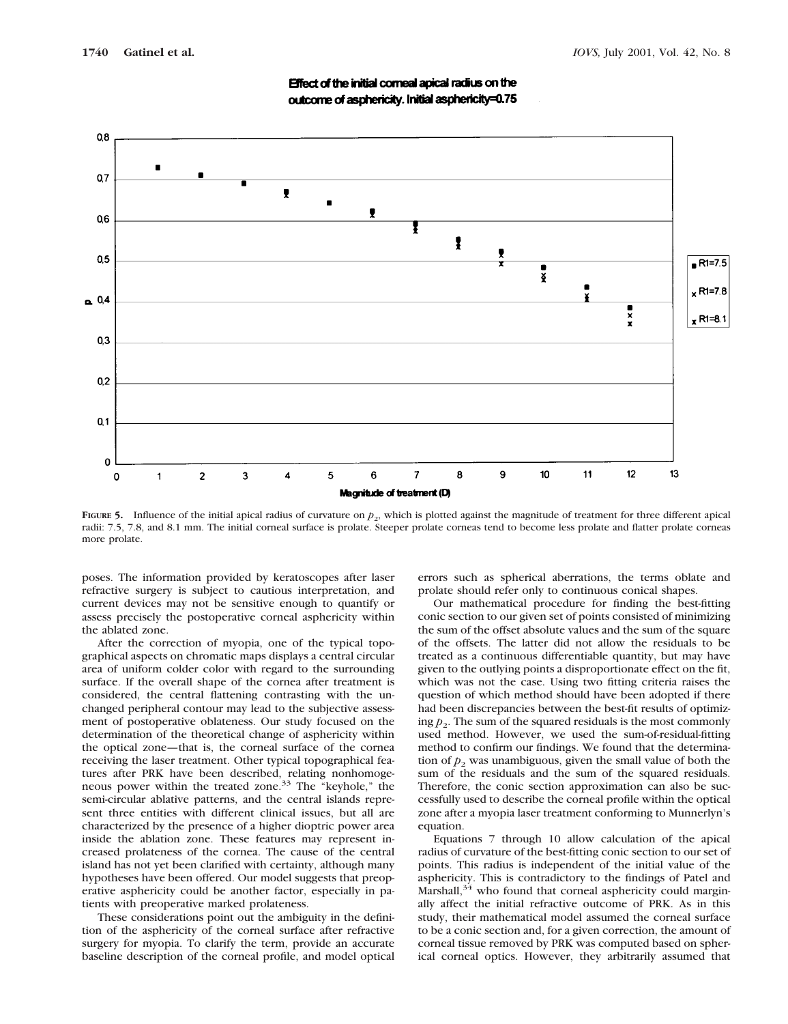

Effect of the initial corneal apical radius on the outcome of asphericity. Initial asphericity=0.75

**FIGURE 5.** Influence of the initial apical radius of curvature on  $p_2$ , which is plotted against the magnitude of treatment for three different apical radii: 7.5, 7.8, and 8.1 mm. The initial corneal surface is prolate. Steeper prolate corneas tend to become less prolate and flatter prolate corneas more prolate.

poses. The information provided by keratoscopes after laser refractive surgery is subject to cautious interpretation, and current devices may not be sensitive enough to quantify or assess precisely the postoperative corneal asphericity within the ablated zone.

After the correction of myopia, one of the typical topographical aspects on chromatic maps displays a central circular area of uniform colder color with regard to the surrounding surface. If the overall shape of the cornea after treatment is considered, the central flattening contrasting with the unchanged peripheral contour may lead to the subjective assessment of postoperative oblateness. Our study focused on the determination of the theoretical change of asphericity within the optical zone—that is, the corneal surface of the cornea receiving the laser treatment. Other typical topographical features after PRK have been described, relating nonhomogeneous power within the treated zone.<sup>33</sup> The "keyhole," the semi-circular ablative patterns, and the central islands represent three entities with different clinical issues, but all are characterized by the presence of a higher dioptric power area inside the ablation zone. These features may represent increased prolateness of the cornea. The cause of the central island has not yet been clarified with certainty, although many hypotheses have been offered. Our model suggests that preoperative asphericity could be another factor, especially in patients with preoperative marked prolateness.

These considerations point out the ambiguity in the definition of the asphericity of the corneal surface after refractive surgery for myopia. To clarify the term, provide an accurate baseline description of the corneal profile, and model optical errors such as spherical aberrations, the terms oblate and prolate should refer only to continuous conical shapes.

Our mathematical procedure for finding the best-fitting conic section to our given set of points consisted of minimizing the sum of the offset absolute values and the sum of the square of the offsets. The latter did not allow the residuals to be treated as a continuous differentiable quantity, but may have given to the outlying points a disproportionate effect on the fit, which was not the case. Using two fitting criteria raises the question of which method should have been adopted if there had been discrepancies between the best-fit results of optimiz- $\log p_2$ . The sum of the squared residuals is the most commonly used method. However, we used the sum-of-residual-fitting method to confirm our findings. We found that the determination of  $p_2$  was unambiguous, given the small value of both the sum of the residuals and the sum of the squared residuals. Therefore, the conic section approximation can also be successfully used to describe the corneal profile within the optical zone after a myopia laser treatment conforming to Munnerlyn's equation.

Equations 7 through 10 allow calculation of the apical radius of curvature of the best-fitting conic section to our set of points. This radius is independent of the initial value of the asphericity. This is contradictory to the findings of Patel and Marshall, $34$  who found that corneal asphericity could marginally affect the initial refractive outcome of PRK. As in this study, their mathematical model assumed the corneal surface to be a conic section and, for a given correction, the amount of corneal tissue removed by PRK was computed based on spherical corneal optics. However, they arbitrarily assumed that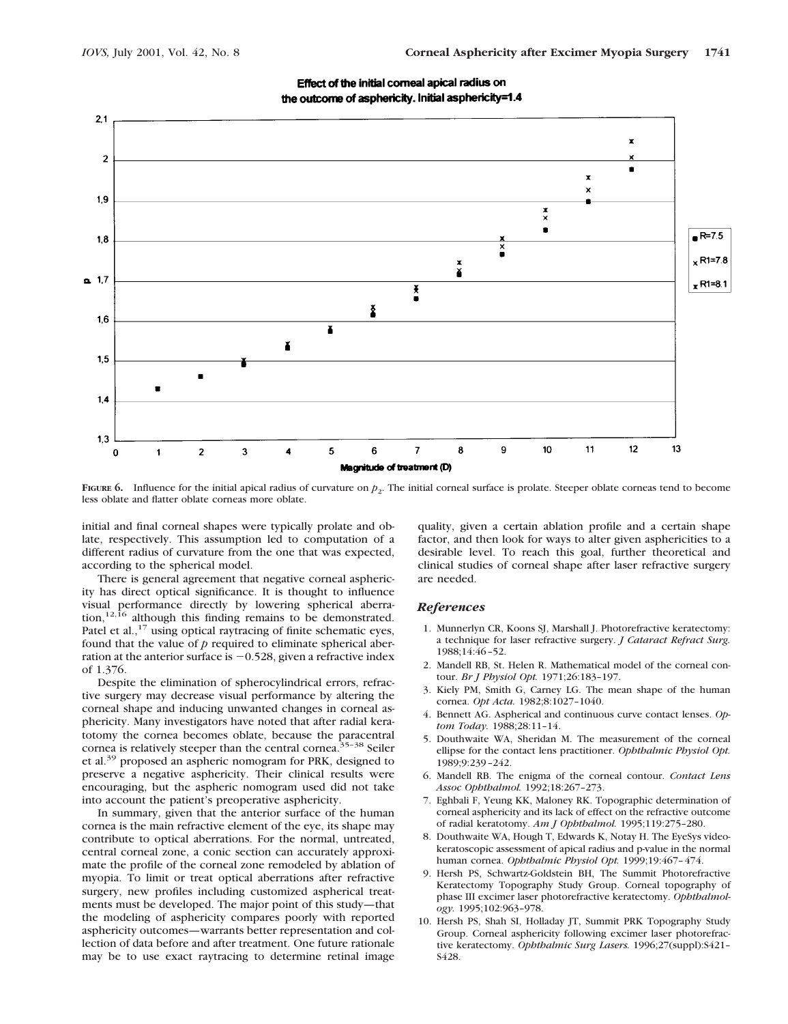

Effect of the initial comeal apical radius on the outcome of asphericity. Initial asphericity=1.4

**FIGURE 6.** Influence for the initial apical radius of curvature on *p*<sub>2</sub>. The initial corneal surface is prolate. Steeper oblate corneas tend to become less oblate and flatter oblate corneas more oblate.

initial and final corneal shapes were typically prolate and oblate, respectively. This assumption led to computation of a different radius of curvature from the one that was expected, according to the spherical model.

There is general agreement that negative corneal asphericity has direct optical significance. It is thought to influence visual performance directly by lowering spherical aberration,<sup>12,16</sup> although this finding remains to be demonstrated. Patel et al.,<sup>17</sup> using optical raytracing of finite schematic eyes, found that the value of *p* required to eliminate spherical aberration at the anterior surface is  $-0.528$ , given a refractive index of 1.376.

Despite the elimination of spherocylindrical errors, refractive surgery may decrease visual performance by altering the corneal shape and inducing unwanted changes in corneal asphericity. Many investigators have noted that after radial keratotomy the cornea becomes oblate, because the paracentral cornea is relatively steeper than the central cornea.<sup>35-38</sup> Seiler et al.<sup>39</sup> proposed an aspheric nomogram for PRK, designed to preserve a negative asphericity. Their clinical results were encouraging, but the aspheric nomogram used did not take into account the patient's preoperative asphericity.

In summary, given that the anterior surface of the human cornea is the main refractive element of the eye, its shape may contribute to optical aberrations. For the normal, untreated, central corneal zone, a conic section can accurately approximate the profile of the corneal zone remodeled by ablation of myopia. To limit or treat optical aberrations after refractive surgery, new profiles including customized aspherical treatments must be developed. The major point of this study—that the modeling of asphericity compares poorly with reported asphericity outcomes—warrants better representation and collection of data before and after treatment. One future rationale may be to use exact raytracing to determine retinal image

quality, given a certain ablation profile and a certain shape factor, and then look for ways to alter given asphericities to a desirable level. To reach this goal, further theoretical and clinical studies of corneal shape after laser refractive surgery are needed.

#### *References*

- 1. Munnerlyn CR, Koons SJ, Marshall J. Photorefractive keratectomy: a technique for laser refractive surgery. *J Cataract Refract Surg.* 1988;14:46–52.
- 2. Mandell RB, St. Helen R. Mathematical model of the corneal contour. *Br J Physiol Opt.* 1971;26:183–197.
- 3. Kiely PM, Smith G, Carney LG. The mean shape of the human cornea. *Opt Acta.* 1982;8:1027–1040.
- 4. Bennett AG. Aspherical and continuous curve contact lenses. *Optom Today.* 1988;28:11–14.
- 5. Douthwaite WA, Sheridan M. The measurement of the corneal ellipse for the contact lens practitioner. *Ophthalmic Physiol Opt.* 1989;9:239–242.
- 6. Mandell RB. The enigma of the corneal contour. *Contact Lens Assoc Ophthalmol.* 1992;18:267–273.
- 7. Eghbali F, Yeung KK, Maloney RK. Topographic determination of corneal asphericity and its lack of effect on the refractive outcome of radial keratotomy. *Am J Ophthalmol.* 1995;119:275–280.
- 8. Douthwaite WA, Hough T, Edwards K, Notay H. The EyeSys videokeratoscopic assessment of apical radius and p-value in the normal human cornea. *Ophthalmic Physiol Opt.* 1999;19:467–474.
- 9. Hersh PS, Schwartz-Goldstein BH, The Summit Photorefractive Keratectomy Topography Study Group. Corneal topography of phase III excimer laser photorefractive keratectomy. *Ophthalmology.* 1995;102:963–978.
- 10. Hersh PS, Shah SI, Holladay JT, Summit PRK Topography Study Group. Corneal asphericity following excimer laser photorefractive keratectomy. *Ophthalmic Surg Lasers.* 1996;27(suppl):S421– S428.